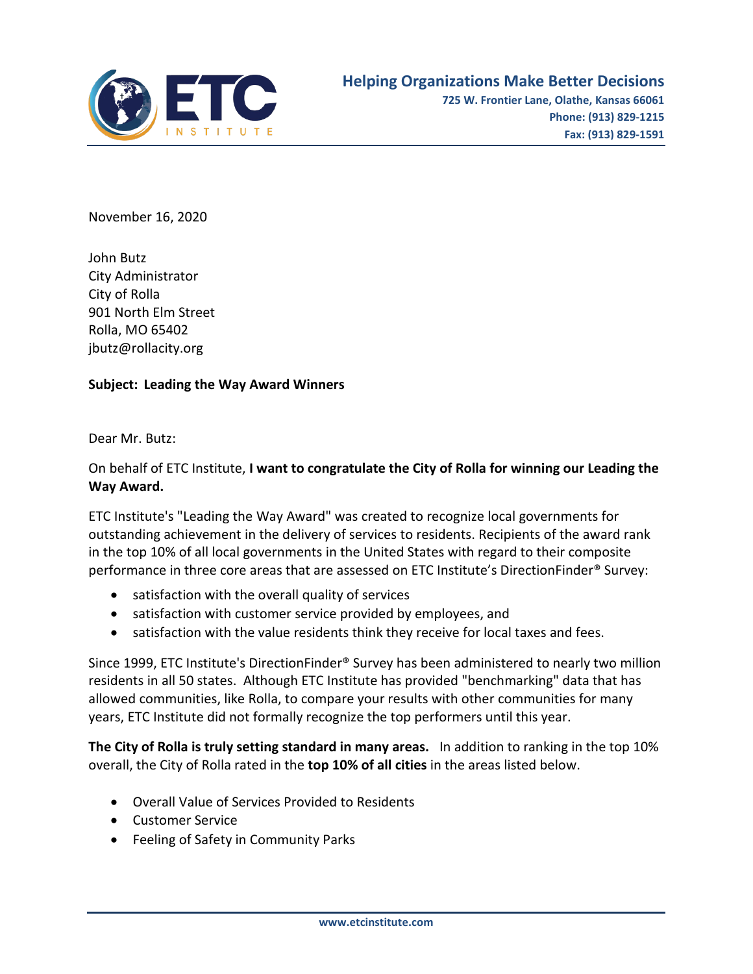

November 16, 2020

John Butz City Administrator City of Rolla 901 North Elm Street Rolla, MO 65402 jbutz@rollacity.org

## **Subject: Leading the Way Award Winners**

Dear Mr. Butz:

## On behalf of ETC Institute, **I want to congratulate the City of Rolla for winning our Leading the Way Award.**

ETC Institute's "Leading the Way Award" was created to recognize local governments for outstanding achievement in the delivery of services to residents. Recipients of the award rank in the top 10% of all local governments in the United States with regard to their composite performance in three core areas that are assessed on ETC Institute's DirectionFinder® Survey:

- satisfaction with the overall quality of services
- satisfaction with customer service provided by employees, and
- satisfaction with the value residents think they receive for local taxes and fees.

Since 1999, ETC Institute's DirectionFinder® Survey has been administered to nearly two million residents in all 50 states. Although ETC Institute has provided "benchmarking" data that has allowed communities, like Rolla, to compare your results with other communities for many years, ETC Institute did not formally recognize the top performers until this year.

**The City of Rolla is truly setting standard in many areas.** In addition to ranking in the top 10% overall, the City of Rolla rated in the **top 10% of all cities** in the areas listed below.

- Overall Value of Services Provided to Residents
- Customer Service
- Feeling of Safety in Community Parks